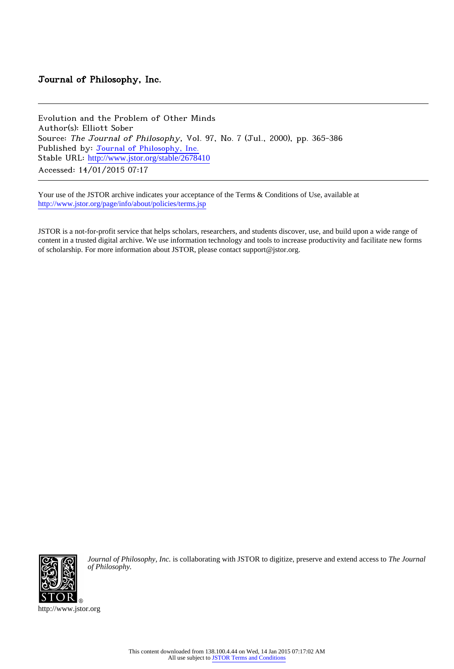## Journal of Philosophy, Inc.

Evolution and the Problem of Other Minds Author(s): Elliott Sober Source: The Journal of Philosophy, Vol. 97, No. 7 (Jul., 2000), pp. 365-386 Published by: [Journal of Philosophy, Inc.](http://www.jstor.org/action/showPublisher?publisherCode=jphil) Stable URL: [http://www.jstor.org/stable/2678410](http://www.jstor.org/stable/2678410?origin=JSTOR-pdf) Accessed: 14/01/2015 07:17

Your use of the JSTOR archive indicates your acceptance of the Terms & Conditions of Use, available at <http://www.jstor.org/page/info/about/policies/terms.jsp>

JSTOR is a not-for-profit service that helps scholars, researchers, and students discover, use, and build upon a wide range of content in a trusted digital archive. We use information technology and tools to increase productivity and facilitate new forms of scholarship. For more information about JSTOR, please contact support@jstor.org.



*Journal of Philosophy, Inc.* is collaborating with JSTOR to digitize, preserve and extend access to *The Journal of Philosophy.*

http://www.jstor.org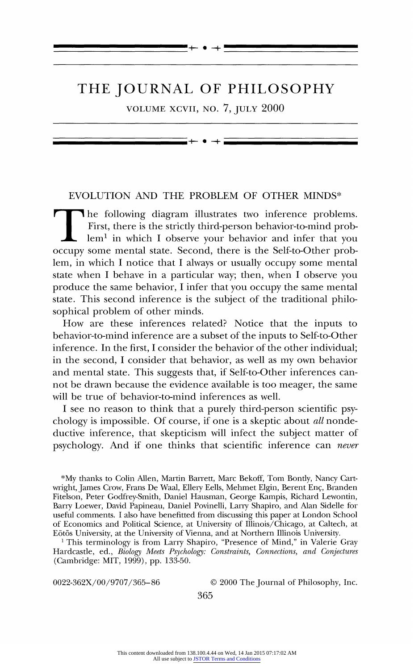## **THE JOURNAL OF PHILOSOPHY**

**\_\_\_\_\_\_\_\_\_\_\_\_\_\_\_\_\_\_\_\_\_\_\_\_\_\_\_\_\_\_\_\_+- -+l 0** 

**VOLUME XCVII, NO. 7, JULY 2000** 

**,+- 0 +** 

## **EVOLUTION AND THE PROBLEM OF OTHER MINDS\***

**<sup>T</sup>he following diagram illustrates two inference problems. First, there is the strictly third-person behavior-to-mind problem' in which I observe your behavior and infer that you occupy some mental state. Second, there is the Self-to-Other problem, in which I notice that I always or usually occupy some mental state when I behave in a particular way; then, when I observe you produce the same behavior, I infer that you occupy the same mental state. This second inference is the subject of the traditional philosophical problem of other minds.** 

**How are these inferences related? Notice that the inputs to behavior-to-mind inference are a subset of the inputs to Self-to-Other inference. In the first, I consider the behavior of the other individual; in the second, I consider that behavior, as well as my own behavior and mental state. This suggests that, if Self-to-Other inferences cannot be drawn because the evidence available is too meager, the same will be true of behavior-to-mind inferences as well.** 

**I see no reason to think that a purely third-person scientific psychology is impossible. Of course, if one is a skeptic about all nondeductive inference, that skepticism will infect the subject matter of psychology. And if one thinks that scientific inference can never** 

**I This terminology is from Larry Shapiro, "Presence of Mind," in Valerie Gray Hardcastle, ed., Biology Meets Psychology: Constraints, Connections, and Conjectures (Cambridge: MIT, 1999), pp. 133-50.** 

**0022-362X/00/9707/365- 86 ( 2000 The Journal of Philosophy, Inc.** 

**365** 

**<sup>\*</sup>My thanks to Colin Allen, Martin Barrett, Marc Bekoff, Tom Bontly, Nancy Cart**wright, James Crow, Frans De Waal, Ellery Eells, Mehmet Elgin, Berent Enc, Branden **Fitelson, Peter Godfrey-Smith, Daniel Hausman, George Kampis, Richard Lewontin, Barny Loewer, David Papineau, Daniel Povinelli, Lariy Shapiro, and Alan Sidelle for useful comments. I also have benefitted from discussing this paper at London School of Economics and Political Science, at University of Illinois/Chicago, at Caltech, at E6t6s University, at the University of Vienna, and at Northern Illinois University.**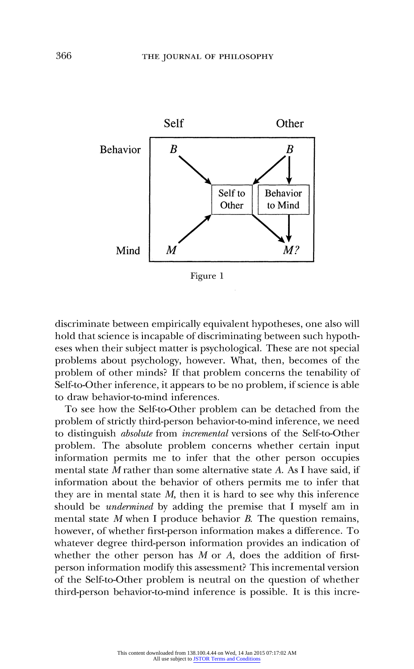

**discriminate between empirically equivalent hypotheses, one also will hold that science is incapable of discriminating between such hypotheses when their subject matter is psychological. These are not special problems about psychology, however. What, then, becomes of the problem of other minds? If that problem concerns the tenability of Self-to-Other inference, it appears to be no problem, if science is able to draw behavior-to-mind inferences.** 

**To see how the Self-to-Other problem can be detached from the problem of strictly third-person behavior-to-mind inference, we need to distinguish absolute from incremental versions of the Self-to-Other problem. The absolute problem concerns whether certain input information permits me to infer that the other person occupies mental state M rather than some alternative state A. As I have said, if information about the behavior of others permits me to infer that they are in mental state M, then it is hard to see why this inference should be undermined by adding the premise that I myself am in mental state M when I produce behavior B. The question remains, however, of whether first-person information makes a difference. To whatever degree third-person information provides an indication of whether the other person has M or A, does the addition of firstperson information modify this assessment? This incremental version of the Self-to-Other problem is neutral on the question of whether third-person behavior-to-mind inference is possible. It is this incre-**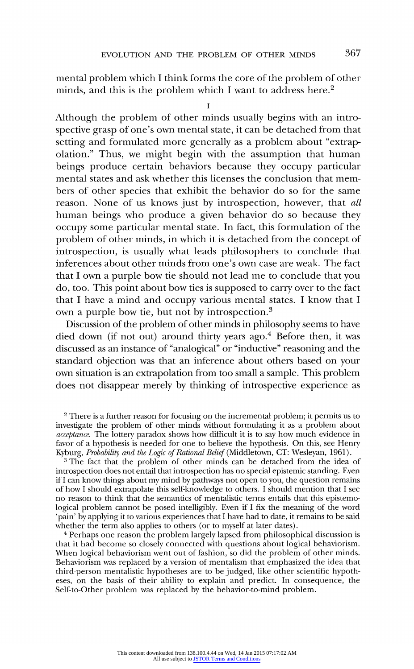**mental problem which I think forms the core of the problem of other minds, and this is the problem which I want to address here.2** 

**I** 

**Although the problem of other minds usually begins with an introspective grasp of one's own mental state, it can be detached from that setting and formulated more generally as a problem about "extrapolation." Thus, we might begin with the assumption that human beings produce certain behaviors because they occupy particular mental states and ask whether this licenses the conclusion that members of other species that exhibit the behavior do so for the same reason. None of us knows just by introspection, however, that all human beings who produce a given behavior do so because they occupy some particular mental state. In fact, this formulation of the problem of other minds, in which it is detached from the concept of introspection, is usually what leads philosophers to conclude that inferences about other minds from one's own case are weak. The fact that I own a purple bow tie should not lead me to conclude that you do, too. This point about bow ties is supposed to carry over to the fact that I have a mind and occupy various mental states. I know that I own a purple bow tie, but not by introspection.3** 

**Discussion of the problem of other minds in philosophy seems to have died down (if not out) around thirty years ago.4 Before then, it was discussed as an instance of "analogical" or "inductive" reasoning and the standard objection was that an inference about others based on your own situation is an extrapolation from too small a sample. This problem does not disappear merely by thinking of introspective experience as** 

**<sup>2</sup>There is a further reason for focusing on the incremental problem; it permits us to investigate the problem of other minds without formulating it as a problem about acceptance. The lottery paradox shows how difficult it is to say how much evidence in**  favor of a hypothesis is needed for one to believe the hypothesis. On this, see Henry **Kyburg, Probability and the Logic of Rational Belief (Middletown, CT: Wesleyan, 1961).** 

**3 The fact that the problem of other minds can be detached from the idea of introspection does not entail that introspection has no special epistemic standing. Even if I can know things about my mind by pathways not open to you, the question remains of how I should extrapolate this self-knowledge to others. I should mention that I see no reason to think that the semantics of mentalistic terms entails that this epistemological problem cannot be posed intelligibly. Even if I fix the meaning of the word 'pain' by applying it to various experiences that I have had to date, it remains to be said whether the term also applies to others (or to myself at later dates).** 

**<sup>4</sup>Perhaps one reason the problem largely lapsed from philosophical discussion is that it had become so closely connected with questions about logical behaviorism. When logical behaviorism went out of fashion, so did the problem of other minds. Behaviorism was replaced by a version of mentalism that emphasized the idea that third-person mentalistic hypotheses are to be judged, like other scientific hypotheses, on the basis of their ability to explain and predict. In consequence, the Self-to-Other problem was replaced by the behavior-to-mind problem.**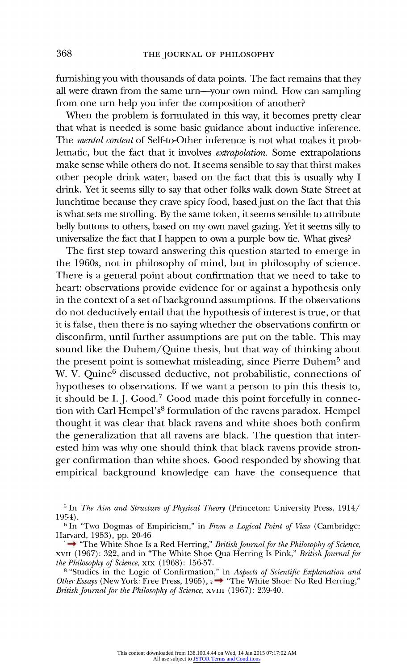**furnishing you with thousands of data points. The fact remains that they all were drawn from the same urn-your own mind. How can sampling from one urn help you infer the composition of another?** 

**When the problem is formulated in this way, it becomes pretty clear that what is needed is some basic guidance about inductive inference. The mental content of Self-to-Other inference is not what makes it problematic, but the fact that it involves extrapolation. Some extrapolations make sense while others do not. It seems sensible to say that thirst makes other people drink water, based on the fact that this is usually why I drink. Yet it seems silly to say that other folks walk down State Street at lunchtime because they crave spicy food, based just on the fact that this is what sets me strolling. By the same token, it seems sensible to attribute belly buttons to others, based on my own navel gazing. Yet it seems silly to universalize the fact that I happen to own a purple bow tie. What gives?** 

**The first step toward answering this question started to emerge in the 1960s, not in philosophy of mind, but in philosophy of science. There is a general point about confirmation that we need to take to heart: observations provide evidence for or against a hypothesis only in the context of a set of background assumptions. If the observations do not deductively entail that the hypothesis of interest is true, or that it is false, then there is no saying whether the observations confirm or disconfirm, until further assumptions are put on the table. This may sound like the Duhem/Quine thesis, but that way of thinking about the present point is somewhat misleading, since Pierre Duhem5 and**  W. V. Quine<sup>6</sup> discussed deductive, not probabilistic, connections of **hypotheses to observations. If we want a person to pin this thesis to, it should be I. J. Good.7 Good made this point forceftlly in connection with Carl Hempel's8 formulation of the ravens paradox. Hempel thought it was clear that black ravens and white shoes both confirm the generalization that all ravens are black. The question that interested him was why one should think that black ravens provide stronger confirmation than white shoes. Good responded by showing that empirical background knowledge can have the consequence that** 

**<sup>5</sup> In The Aim and Structure of Physical Theory (Princeton: University Press, 1914/ 19r.4).** 

**<sup>6</sup>In "Two Dogmas of Empiricism," in From a Logical Point of View (Cambridge: Harvard, 1953), pp. 20-46** 

<sup>&</sup>lt;sup>1</sup> "The White Shoe Is a Red Herring," *British Journal for the Philosophy of Science*, **xvII** (1967): 322, and in "The White Shoe Qua Herring Is Pink," British Journal for **the Philosophy of Science, XIX (1968): 156-57.** 

**<sup>8</sup> "Studies in the Logic of Confirmation," in Aspects of Scientific Explanation and**  *Other Essays* (New York: Free Press, 1965),  $\varepsilon \rightarrow$  "The White Shoe: No Red Herring," British Journal for the Philosophy of Science, XVIII (1967): 239-40.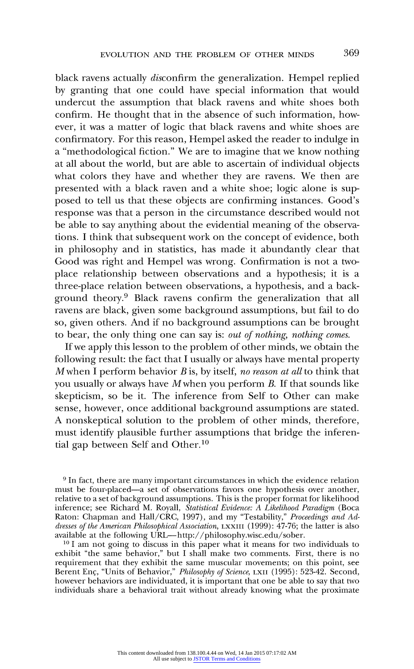**black ravens actually disconfirm the generalization. Hempel replied by granting that one could have special information that would undercut the assumption that black ravens and white shoes both confirm. He thought that in the absence of such information, however, it was a matter of logic that black ravens and white shoes are confirmatory. For this reason, Hempel asked the reader to indulge in a "methodological fiction." We are to imagine that we know nothing at all about the world, but are able to ascertain of individual objects what colors they have and whether they are ravens. We then are presented with a black raven and a white shoe; logic alone is supposed to tell us that these objects are confirming instances. Good's response was that a person in the circumstance described would not be able to say anything about the evidential meaning of the observations. I think that subsequent work on the concept of evidence, both in philosophy and in statistics, has made it abundantly clear that Good was right and Hempel was wrong. Confirmation is not a twoplace relationship between observations and a hypothesis; it is a three-place relation between observations, a hypothesis, and a background theory.9 Black ravens confirm the generalization that all ravens are black, given some background assumptions, but fail to do so, given others. And if no background assumptions can be brought to bear, the only thing one can say is: out of nothing, nothing comes.** 

**If we apply this lesson to the problem of other minds, we obtain the following result: the fact that I usually or always have mental property Mwhen I perform behavior B is, by itself, no reason at all to think that you usually or always have M when you perform B. If that sounds like skepticism, so be it. The inference from Self to Other can make sense, however, once additional background assumptions are stated. A nonskeptical solution to the problem of other minds, therefore, must identify plausible further assumptions that bridge the inferential gap between Self and Other.10** 

**9 In fact, there are many important circumstances in which the evidence relation must be four-placed-a set of observations favors one hypothesis over another, relative to a set of background assumptions. This is the proper format for likelihood inference; see Richard M. Royall, Statistical Evidence: A Likelihood Paradigm (Boca Raton: Chapman and Hall/CRC, 1997), and my "Testability," Proceedings and Addresses of the American Philosophical Association, LXXIII (1999): 47-76; the latter is also available at the following URL-http://philosophy.wisc.edu/sober.** 

**10 I am not going to discuss in this paper what it means for two individuals to exhibit "the same behavior," but I shall make two comments. First, there is no requirement that they exhibit the same muscular movements; on this point, see**  Berent Enç, "Units of Behavior," Philosophy of Science, LXII (1995): 523-42. Second, **however behaviors are individuated, it is important that one be able to say that two individuals share a behavioral trait without already knowing what the proximate**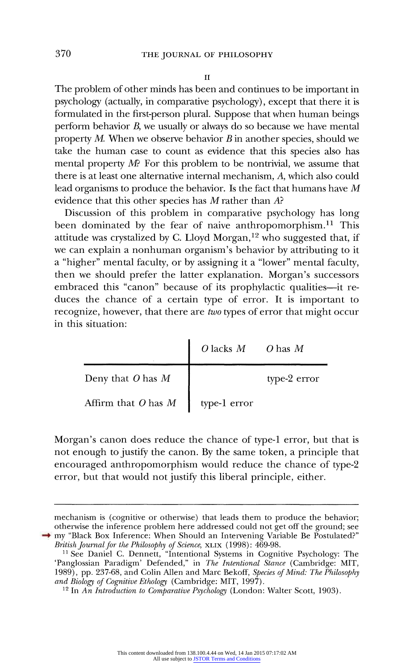**II** 

**The problem of other minds has been and continues to be important in psychology (actually, in comparative psychology), except that there it is formulated in the first-person plural. Suppose that when human beings perform behavior B, we usually or always do so because we have mental property M. When we observe behavior B in another species, should we take the human case to count as evidence that this species also has mental property M? For this problem to be nontrivial, we assume that there is at least one alternative internal mechanism, A, which also could lead organisms to produce the behavior. Is the fact that humans have M evidence that this other species has M rather than A?** 

**Discussion of this problem in comparative psychology has long been dominated by the fear of naive anthropomorphism.11 This attitude was crystalized by C. Lloyd Morgan,12 who suggested that, if we can explain a nonhuman organism's behavior by attributing to it a "higher" mental faculty, or by assigning it a "lower" mental faculty, then we should prefer the latter explanation. Morgan's successors**  embraced this "canon" because of its prophylactic qualities--it re**duces the chance of a certain type of error. It is important to recognize, however, that there are two types of error that might occur in this situation:** 

|                         | $O$ lacks $M$ $O$ has $M$ |              |
|-------------------------|---------------------------|--------------|
| Deny that O has M       |                           | type-2 error |
| Affirm that $O$ has $M$ | type-1 error              |              |

**Morgan's canon does reduce the chance of type-1 error, but that is not enough to justify the canon. By the same token, a principle that encouraged anthropomorphism would reduce the chance of type-2 error, but that would not justify this liberal principle, either.** 

**mechanism is (cognitive or otherwise) that leads them to produce the behavior; otherwise the inference problem here addressed could not get off the ground; see my "Black Box Inference: When Should an Intervening Variable Be Postulated?" British Journal for the Philosophy of Science, XLIX (1998): 469-98.** 

**<sup>&#</sup>x27;1 See Daniel C. Dennett, "Intentional Systems in Cognitive Psychology: The**  'Panglossian Paradigm' Defended," in The Intentional Stance (Cambridge: MIT, **1989), pp. 237-68, and Colin Allen and Marc Bekoff, Species of Mind: The Philosophy and Biology of Cognitive Ethology (Cambridge: MIT, 1997).** 

<sup>&</sup>lt;sup>12</sup> In An Introduction to Comparative Psychology (London: Walter Scott, 1903).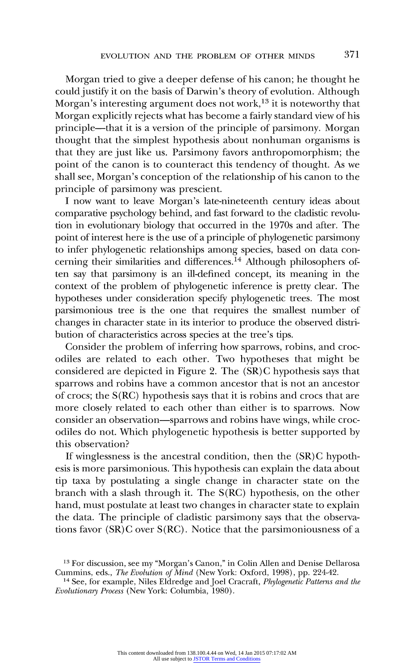**Morgan tried to give a deeper defense of his canon; he thought he could justify it on the basis of Darwin's theory of evolution. Although Morgan's interesting argument does not work,13 it is noteworthy that Morgan explicitly rejects what has become a fairly standard view of his principle-that it is a version of the principle of parsimony. Morgan thought that the simplest hypothesis about nonhuman organisms is that they are just like us. Parsimony favors anthropomorphism; the point of the canon is to counteract this tendency of thought. As we shall see, Morgan's conception of the relationship of his canon to the principle of parsimony was prescient.** 

**I now want to leave Morgan's late-nineteenth century ideas about comparative psychology behind, and fast forward to the cladistic revolution in evolutionary biology that occurred in the 1970s and after. The point of interest here is the use of a principle of phylogenetic parsimony to infer phylogenetic relationships among species, based on data concerning their similarities and differences.'4 Although philosophers often say that parsimony is an ill-defined concept, its meaning in the context of the problem of phylogenetic inference is pretty clear. The hypotheses under consideration specify phylogenetic trees. The most parsimonious tree is the one that requires the smallest number of changes in character state in its interior to produce the observed distribution of characteristics across species at the tree's tips.** 

**Consider the problem of inferring how sparrows, robins, and crocodiles are related to each other. Two hypotheses that might be considered are depicted in Figure 2. The (SR) C hypothesis says that sparrows and robins have a common ancestor that is not an ancestor of crocs; the S(RC) hypothesis says that it is robins and crocs that are more closely related to each other than either is to sparrows. Now consider an observation-sparrows and robins have wings, while crocodiles do not. Which phylogenetic hypothesis is better supported by this observation?** 

**If winglessness is the ancestral condition, then the (SR)C hypothesis is more parsimonious. This hypothesis can explain the data about tip taxa by postulating a single change in character state on the branch with a slash through it. The S(RC) hypothesis, on the other hand, must postulate at least two changes in character state to explain the data. The principle of cladistic parsimony says that the observations favor (SR) C over S (RC). Notice that the parsimoniousness of a** 

**<sup>13</sup>For discussion, see my "Morgan's Canon," in Colin Allen and Denise Dellarosa Cummins, eds., The Evolution of Mind (New York: Oxford, 1998), pp. 224-42.** 

**<sup>14</sup>See, for example, Niles Eldredge and Joel Cracraft, Phylogenetic Patterns and the Evolutionary Process (New York: Columbia, 1980).**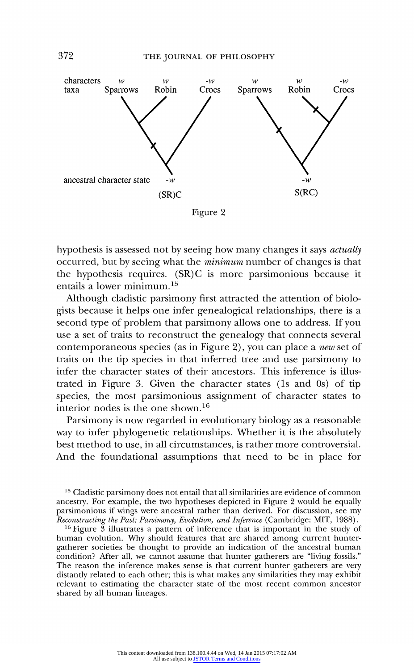

**hypothesis is assessed not by seeing how many changes it says actually occurred, but by seeing what the minimum number of changes is that the hypothesis requires. (SR)C is more parsimonious because it entails a lower minimum.15** 

**Although cladistic parsimony first attracted the attention of biologists because it helps one infer genealogical relationships, there is a second type of problem that parsimony allows one to address. If you use a set of traits to reconstruct the genealogy that connects several contemporaneous species (as in Figure 2), you can place a new set of traits on the tip species in that inferred tree and use parsimony to infer the character states of their ancestors. This inference is illustrated in Figure 3. Given the character states (is and Os) of tip species, the most parsimonious assignment of character states to interior nodes is the one shown.'6** 

**Parsimony is now regarded in evolutionary biology as a reasonable way to infer phylogenetic relationships. Whether it is the absolutely best method to use, in all circumstances, is rather more controversial. And the foundational assumptions that need to be in place for** 

**<sup>15</sup>Cladistic parsimony does not entail that all similarities are evidence of common ancestry. For example, the two hypotheses depicted in Figure 2 would be equally parsimonious if wings were ancestral rather than derived. For discussion, see my Reconstructing the Past: Parsimony, Evolution, and Inference (Cambridge: MIT, 1988).** 

**<sup>16</sup>Figure 3 illustrates a pattern of inference that is important in the study of human evolution. Why should features that are shared among current huntergatherer societies be thought to provide an indication of the ancestral human condition? After all, we cannot assume that hunter gatherers are "living fossils." The reason the inference makes sense is that current hunter gatherers are very distantly related to each other; this is what makes any similarities they may exhibit relevant to estimating the character state of the most recent common ancestor shared by all human lineages.**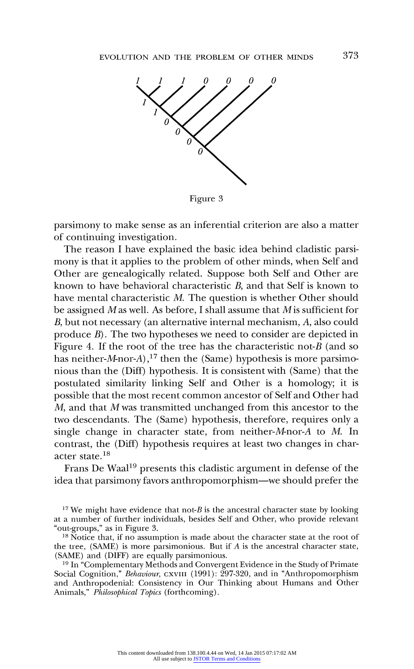

**Figure 3** 

**parsimony to make sense as an inferential criterion are also a matter of continuing investigation.** 

**The reason I have explained the basic idea behind cladistic parsimony is that it applies to the problem of other minds, when Self and Other are genealogically related. Suppose both Self and Other are known to have behavioral characteristic B, and that Self is known to have mental characteristic M. The question is whether Other should be assigned Mas well. As before, I shall assume that Mis sufficient for B, but not necessary (an alternative internal mechanism, A, also could produce B). The two hypotheses we need to consider are depicted in Figure 4. If the root of the tree has the characteristic not-B (and so**  has neither-*M*-nor-*A*),<sup>17</sup> then the (Same) hypothesis is more parsimo**nious than the (Diff) hypothesis. It is consistent with (Same) that the postulated similarity linking Self and Other is a homology; it is possible that the most recent common ancestor of Self and Other had M, and that M was transmitted unchanged from this ancestor to the two descendants. The (Same) hypothesis, therefore, requires only a single change in character state, from neither-M-nor-A to M. In contrast, the (Diff) hypothesis requires at least two changes in character state.18** 

**Frans De Waal"9 presents this cladistic argument in defense of the idea that parsimony favors anthropomorphism-we should prefer the** 

<sup>17</sup> We might have evidence that not-*B* is the ancestral character state by looking **at a number of further individuals, besides Self and Other, who provide relevant "out-groups," as in Figure 3.** 

**<sup>18</sup>Notice that, if no assumption is made about the character state at the root of the tree, (SAME) is more parsimonious. But if A is the ancestral character state, (SAME) and (DIFF) are equally parsimonious.** 

**19 In "Complementary Methods and Convergent Evidence in the Study of Primate Social Cognition," Behaviour, cxviii (1991): 297-320, and in "Anthropomorphism and Anthropodenial: Consistency in Our Thinking about Humans and Other Animals," Philosophical Topics (forthcoming).**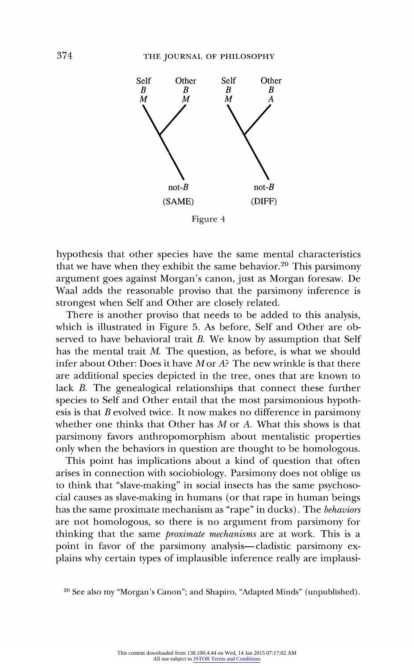

**hypothesis that other species have the same mental characteristics that we have when they exhibit the same behavior.20 This parsimony argument goes against Morgan's canon, just as Morgan foresaw. De Waal adds the reasonable proviso that the parsimony inference is strongest when Self and Other are closely related.** 

**There is another proviso that needs to be added to this analysis, which is illustrated in Figure 5. As before, Self and Other are observed to have behavioral trait B. We know by assumption that Self has the mental trait M. The question, as before, is what we should infer about Other: Does it have M or A? The new wrinkle is that there are additional species depicted in the tree, ones that are known to lack B. The genealogical relationships that connect these further species to Self and Other entail that the most parsimonious hypothesis is that B evolved twice. It now makes no difference in parsimony whether one thinks that Other has M or A. What this shows is that parsimony favors anthropomorphism about mentalistic properties only when the behaviors in question are thought to be homologous.** 

**This point has implications about a kind of question that often arises in connection with sociobiology. Parsimony does not oblige us to think that "slave-making" in social insects has the same psychosocial causes as slave-making in humans (or that rape in human beings has the same proximate mechanism as "rape" in ducks). The behaviors are not homologous, so there is no argument from parsimony for thinking that the same proximate mechanisms are at work. This is a**  point in favor of the parsimony analysis—cladistic parsimony ex**plains why certain types of implausible inference really are implausi-**

**<sup>20</sup> See also my "Morgan's Canon"; and Shapiro, "Adapted Minds" (unpublished).**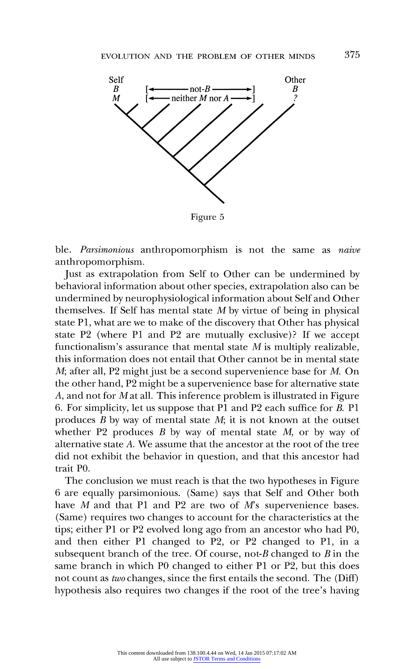

**ble. Parsimonious anthropomorphism is not the same as naive anthropomorphism.** 

**Just as extrapolation from Self to Other can be undermined by behavioral information about other species, extrapolation also can be undermined by neurophysiological information about Self and Other themselves. If Self has mental state M by virtue of being in physical state P1, what are we to make of the discovery that Other has physical state P2 (where P1 and P2 are mutually exclusive)? If we accept functionalism's assurance that mental state M is multiply realizable, this information does not entail that Other cannot be in mental state M; after all, P2 might just be a second supervenience base for M. On the other hand, P2 might be a supervenience base for alternative state A, and not for Mat all. This inference problem is illustrated in Figure 6. For simplicity, let us suppose that P1 and P2 each suffice for B. P1 produces B by way of mental state M; it is not known at the outset whether P2 produces B by way of mental state M, or by way of alternative state A. We assume that the ancestor at the root of the tree did not exhibit the behavior in question, and that this ancestor had trait PO.** 

**The conclusion we must reach is that the two hypotheses in Figure 6 are equally parsimonious. (Same) says that Self and Other both have M and that P1 and P2 are two of Ms supervenience bases. (Same) requires two changes to account for the characteristics at the tips; either P1 or P2 evolved long ago from an ancestor who had P0, and then either P1 changed to P2, or P2 changed to P1, in a subsequent branch of the tree. Of course, not-B changed to B in the same branch in which PO changed to either P1 or P2, but this does not count as two changes, since the first entails the second. The (Diff) hypothesis also requires two changes if the root of the tree's having**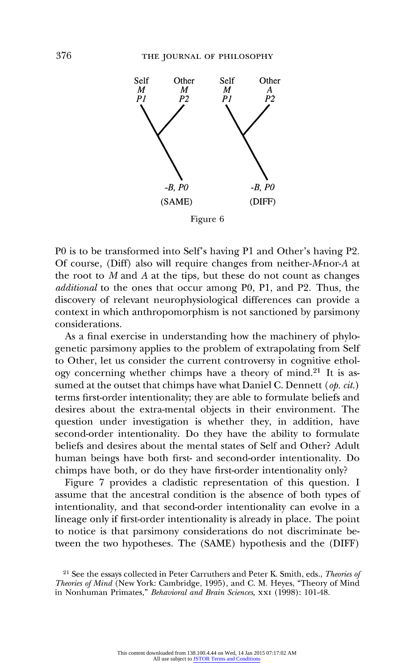

**PO is to be transformed into Self's having P1 and Other's having P2. Of course, (Diff) also will require changes from neither-M-nor-A at the root to M and A at the tips, but these do not count as changes additional to the ones that occur among P0, P1, and P2. Thus, the discovery of relevant neurophysiological differences can provide a context in which anthropomorphism is not sanctioned by parsimony considerations.** 

**As a final exercise in understanding how the machinery of phylogenetic parsimony applies to the problem of extrapolating from Self to Other, let us consider the current controversy in cognitive ethology concerning whether chimps have a theory of mind.2' It is assumed at the outset that chimps have what Daniel C. Dennett (op. cit.) terms first-order intentionality; they are able to formulate beliefs and desires about the extra-mental objects in their environment. The question under investigation is whether they, in addition, have second-order intentionality. Do they have the ability to formulate beliefs and desires about the mental states of Self and Other? Adult human beings have both first- and second-order intentionality. Do chimps have both, or do they have first-order intentionality only?** 

**Figure 7 provides a cladistic representation of this question. I assume that the ancestral condition is the absence of both types of intentionality, and that second-order intentionality can evolve in a lineage only if first-order intentionality is already in place. The point to notice is that parsimony considerations do not discriminate between the two hypotheses. The (SAME) hypothesis and the (DIFF)** 

**<sup>21</sup>See the essays collected in Peter Carruthers and Peter K. Smith, eds., Theories of Theories of Mind (New York: Cambridge, 1995), and C. M. Heyes, "Theory of Mind in Nonhuman Primates," Behavioral and Brain Sciences, XXI (1998): 101-48.**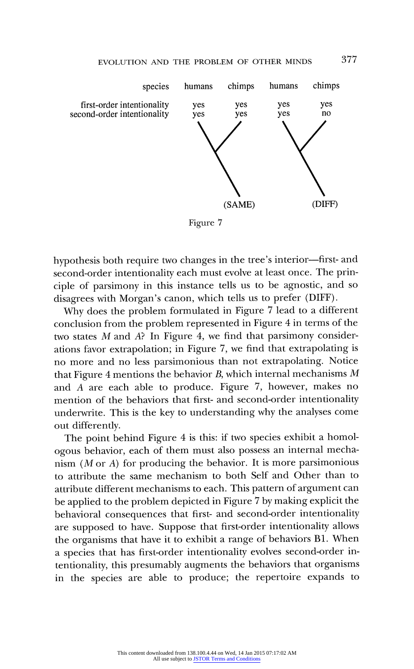

**Figure 7** 

**hypothesis both require two changes in the tree's interior-first- and second-order intentionality each must evolve at least once. The principle of parsimony in this instance tells us to be agnostic, and so disagrees with Morgan's canon, which tells us to prefer (DIFF).** 

**Why does the problem formulated in Figure 7 lead to a different conclusion from the problem represented in Figure 4 in terms of the two states M and A? In Figure 4, we find that parsimony considerations favor extrapolation; in Figure 7, we find that extrapolating is no more and no less parsimonious than not extrapolating. Notice that Figure 4 mentions the behavior B, which internal mechanisms M and A are each able to produce. Figure 7, however, makes no mention of the behaviors that first- and second-order intentionality underwrite. This is the key to understanding why the analyses come out differently.** 

**The point behind Figure 4 is this: if two species exhibit a homologous behavior, each of them must also possess an internal mechanism (M or A) for producing the behavior. It is more parsimonious to attribute the same mechanism to both Self and Other than to attribute different mechanisms to each. This pattern of argument can be applied to the problem depicted in Figure 7 by making explicit the behavioral consequences that first- and second-order intentionality are supposed to have. Suppose that first-order intentionality allows the organisms that have it to exhibit a range of behaviors Bi. When a species that has first-order intentionality evolves second-order intentionality, this presumably augments the behaviors that organisms in the species are able to produce; the repertoire expands to**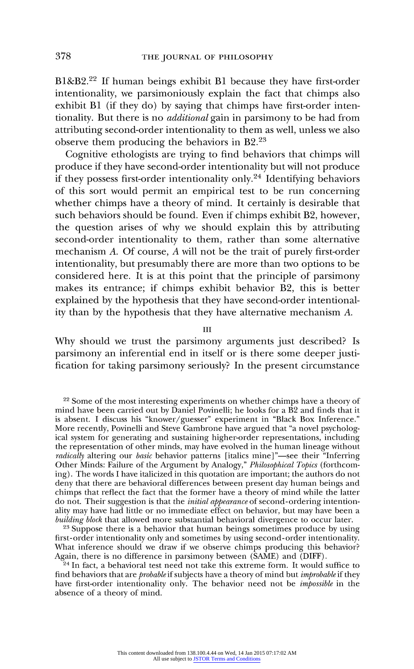**B1&B2.22 If human beings exhibit B1 because they have first-order intentionality, we parsimoniously explain the fact that chimps also exhibit B1 (if they do) by saying that chimps have first-order intentionality. But there is no additional gain in parsimony to be had from attributing second-order intentionality to them as well, unless we also observe them producing the behaviors in B2.23** 

**Cognitive ethologists are trying to find behaviors that chimps will produce if they have second-order intentionality but will not produce if they possess first-order intentionality only.24 Identifying behaviors of this sort would permit an empirical test to be run concerning whether chimps have a theory of mind. It certainly is desirable that such behaviors should be found. Even if chimps exhibit B2, however, the question arises of why we should explain this by attributing second-order intentionality to them, rather than some alternative mechanism A. Of course, A will not be the trait of purely first-order intentionality, but presumably there are more than two options to be considered here. It is at this point that the principle of parsimony makes its entrance; if chimps exhibit behavior B2, this is better explained by the hypothesis that they have second-order intentionality than by the hypothesis that they have alternative mechanism A.** 

**III** 

**Why should we trust the parsimony arguments just described? Is parsimony an inferential end in itself or is there some deeper justification for taking parsimony seriously? In the present circumstance** 

**<sup>22</sup>Some of the most interesting experiments on whether chimps have a theory of mind have been carried out by Daniel Povinelli; he looks for a B2 and finds that it is absent. I discuss his "knower/guesser" experiment in "Black Box Inference." More recently, Povinelli and Steve Gambrone have argued that "a novel psychological system for generating and sustaining higher-order representations, including the representation of other minds, may have evolved in the human lineage without**  radically altering our basic behavior patterns [italics mine]"-see their "Inferring **Other Minds: Failure of the Argument by Analogy," Philosophical Topics (forthcoming). The words I have italicized in this quotation are important; the authors do not deny that there are behavioral differences between present day human beings and chimps that reflect the fact that the former have a theory of mind while the latter do not. Their suggestion is that the initial appearance of second-ordering intentionality may have had little or no immediate effect on behavior, but may have been a building block that allowed more substantial behavioral divergence to occur later.** 

**<sup>23</sup>Suppose there is a behavior that human beings sometimes produce by using first-order intentionality only and sometimes by using second-order intentionality. What inference should we draw if we observe chimps producing this behavior? Again, there is no difference in parsimony between (SAME) and (DIFF).** 

**<sup>24</sup>In fact, a behavioral test need not take this extreme form. It would suffice to find behaviors that are probable if subjects have a theory of mind but improbable if they**  have first-order intentionality only. The behavior need not be *impossible* in the **absence of a theory of mind.**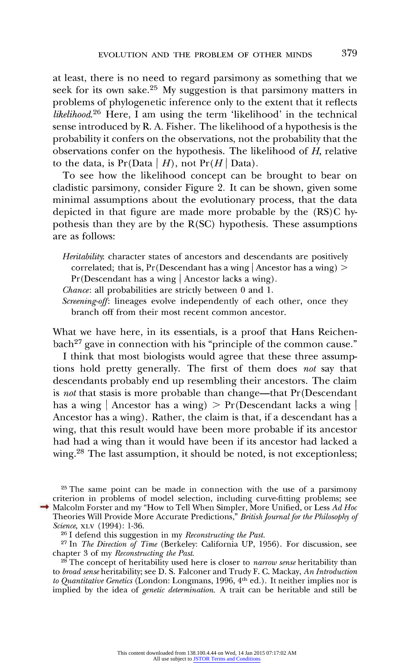**at least, there is no need to regard parsimony as something that we seek for its own sake.25 My suggestion is that parsimony matters in problems of phylogenetic inference only to the extent that it reflects likelihood.26 Here, I am using the term 'likelihood' in the technical sense introduced by R. A. Fisher. The likelihood of a hypothesis is the probability it confers on the observations, not the probability that the observations confer on the hypothesis. The likelihood of H, relative**  to the data, is  $Pr(Data | H)$ , not  $Pr(H | Data)$ .

**To see how the likelihood concept can be brought to bear on cladistic parsimony, consider Figure 2. It can be shown, given some minimal assumptions about the evolutionary process, that the data depicted in that figure are made more probable by the (RS)C hypothesis than they are by the R(SC) hypothesis. These assumptions are as follows:** 

**Heritability: character states of ancestors and descendants are positively correlated; that is, Pr(Descendant has a wing I Ancestor has a wing) <sup>&</sup>gt; Pr(Descendant has a wing I Ancestor lacks a wing). Chance: all probabilities are strictly between 0 and 1. Screening-off: lineages evolve independently of each other, once they branch off from their most recent common ancestor.** 

**What we have here, in its essentials, is a proof that Hans Reichen**bach<sup>27</sup> gave in connection with his "principle of the common cause."

**I think that most biologists would agree that these three assumptions hold pretty generally. The first of them does not say that descendants probably end up resembling their ancestors. The claim**  is not that stasis is more probable than change—that Pr(Descendant has a wing | Ancestor has a wing)  $> Pr(Descendant$  lacks a wing | **Ancestor has a wing). Rather, the claim is that, if a descendant has a wing, that this result would have been more probable if its ancestor had had a wing than it would have been if its ancestor had lacked a wing.28 The last assumption, it should be noted, is not exceptionless;** 

**<sup>25</sup>The same point can be made in connection with the use of a parsimony criterion in problems of model selection, including curve-fitting problems; see Malcolm Forster and my "How to Tell When Simpler, More Unified, or Less Ad Hoc Theories Will Provide More Accurate Predictions," British Journalfor the Philosophy of Science, XLV (1994): 1-36.** 

<sup>27</sup> In *The Direction of Time* (Berkeley: California UP, 1956). For discussion, see **chapter 3 of my Reconstructing the Past.** 

**<sup>28</sup>The concept of heritability used here is closer to narrow sense heritability than to broad sense heritability; see D. S. Falconer and Trudy F. C. Mackay, An Introduction to Quantitative Genetics (London: Longmans, 1996, 4th ed.). It neither implies nor is implied by the idea of genetic determination. A trait can be heritable and still be** 

**<sup>26</sup>J defend this suggestion in my Reconstructing the Past.**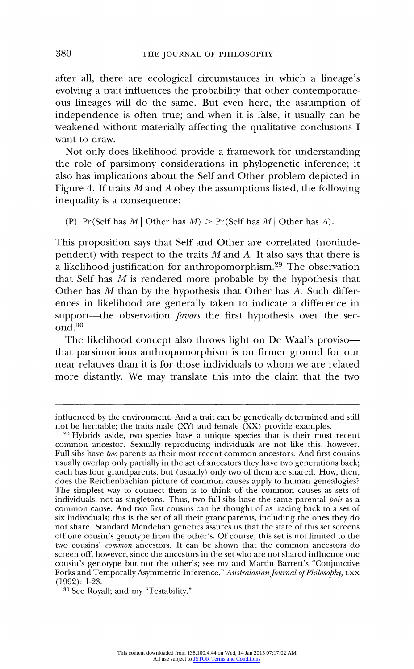**after all, there are ecological circumstances in which a lineage's evolving a trait influences the probability that other contemporaneous lineages will do the same. But even here, the assumption of independence is often true; and when it is false, it usually can be weakened without materially affecting the qualitative conclusions I want to draw.** 

**Not only does likelihood provide a framework for understanding the role of parsimony considerations in phylogenetic inference; it also has implications about the Self and Other problem depicted in Figure 4. If traits M and A obey the assumptions listed, the following inequality is a consequence:** 

**(P)** Pr(Self has  $M \mid$  Other has  $M$ ) > Pr(Self has  $M \mid$  Other has  $A$ ).

**This proposition says that Self and Other are correlated (nonindependent) with respect to the traits M and A. It also says that there is a likelihood justification for anthropomorphism.29 The observation that Self has M is rendered more probable by the hypothesis that Other has M than by the hypothesis that Other has A. Such differences in likelihood are generally taken to indicate a difference in**  support—the observation *favors* the first hypothesis over the sec**ond.30** 

The likelihood concept also throws light on De Waal's proviso**that parsimonious anthropomorphism is on firmer ground for our near relatives than it is for those individuals to whom we are related more distantly. We may translate this into the claim that the two** 

**influenced by the environment. And a trait can be genetically determined and still not be heritable; the traits male (XY) and female (XX) provide examples.** 

**<sup>29</sup>Hybrids aside, two species have a unique species that is their most recent common ancestor. Sexually reproducing individuals are not like this, however. Full-sibs have two parents as their most recent common ancestors. And first cousins usually overlap only partially in the set of ancestors they have two generations back; each has four grandparents, but (usually) only two of them are shared. How, then, does the Reichenbachian picture of common causes apply to human genealogies? The simplest way to connect them is to think of the common causes as sets of individuals, not as singletons. Thus, two full-sibs have the same parental pair as a common cause. And two first cousins can be thought of as tracing back to a set of six individuals; this is the set of all their grandparents, including the ones they do not share. Standard Mendelian genetics assures us that the state of this set screens off one cousin's genotype from the other's. Of course, this set is not limited to the**  two cousins' *common* ancestors. It can be shown that the common ancestors do **screen off, however, since the ancestors in the set who are not shared influence one cousin's genotype but not the other's; see my and Martin Barrett's "Conjunctive Forks and Temporally Asymmetric Inference," Australasian Journal of Philosophy, LXX (1992): 1-23.** 

**<sup>30</sup>See Royall; and my "Testability."**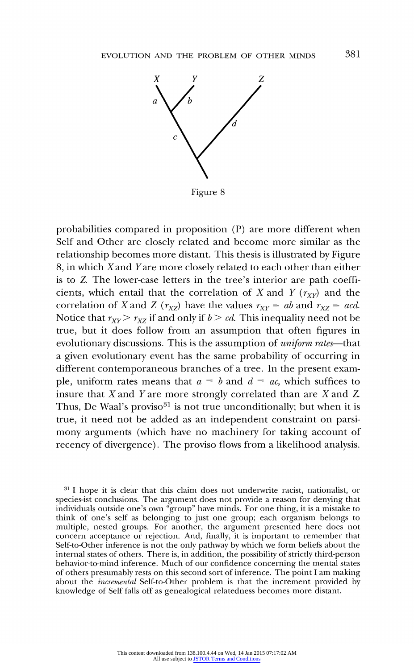

**Figure 8** 

**probabilities compared in proposition (P) are more different when Self and Other are closely related and become more similar as the relationship becomes more distant. This thesis is illustrated by Figure 8, in which Xand Yare more closely related to each other than either is to Z. The lower-case letters in the tree's interior are path coeffi**cients, which entail that the correlation of X and Y  $(r_{XY})$  and the correlation of X and Z ( $r_{XZ}$ ) have the values  $r_{XY} = ab$  and  $r_{XZ} = acd$ . Notice that  $r_{XY} > r_{XZ}$  if and only if  $b > cd$ . This inequality need not be **true, but it does follow from an assumption that often figures in**  evolutionary discussions. This is the assumption of *uniform rates*—that **a given evolutionary event has the same probability of occurring in different contemporaneous branches of a tree. In the present exam**ple, uniform rates means that  $a = b$  and  $d = ac$ , which suffices to **insure that X and Y are more strongly correlated than are X and Z.**  Thus, De Waal's proviso<sup>31</sup> is not true unconditionally; but when it is **true, it need not be added as an independent constraint on parsimony arguments (which have no machinery for taking account of recency of divergence). The proviso flows from a likelihood analysis.** 

**31I hope it is clear that this claim does not underwrite racist, nationalist, or species-ist conclusions. The argument does not provide a reason for denying that individuals outside one's own "group" have minds. For one thing, it is a mistake to think of one's self as belonging to just one group; each organism belongs to multiple, nested groups. For another, the argument presented here does not concern acceptance or rejection. And, finally, it is important to remember that Self-to-Other inference is not the only pathway by which we form beliefs about the internal states of others. There is, in addition, the possibility of strictly third-person behavior-to-mind inference. Much of our confidence concerning the mental states of others presumably rests on this second sort of inference. The point I am making about the incremental Self-to-Other problem is that the increment provided by knowledge of Self falls off as genealogical relatedness becomes more distant.**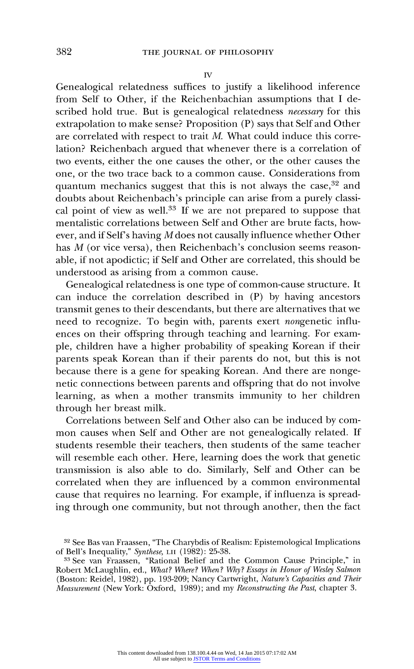**Genealogical relatedness suffices to justify a likelihood inference from Self to Other, if the Reichenbachian assumptions that I described hold true. But is genealogical relatedness necessary for this extrapolation to make sense? Proposition (P) says that Self and Other are correlated with respect to trait M. What could induce this correlation? Reichenbach argued that whenever there is a correlation of two events, either the one causes the other, or the other causes the one, or the two trace back to a common cause. Considerations from quantum mechanics suggest that this is not always the case,32 and doubts about Reichenbach's principle can arise from a purely classical point of view as well.33 If we are not prepared to suppose that mentalistic correlations between Self and Other are brute facts, however, and if Self's having Mdoes not causally influence whether Other has M (or vice versa), then Reichenbach's conclusion seems reasonable, if not apodictic; if Self and Other are correlated, this should be understood as arising from a common cause.** 

**Genealogical relatedness is one type of common-cause structure. It can induce the correlation described in (P) by having ancestors transmit genes to their descendants, but there are alternatives that we need to recognize. To begin with, parents exert nongenetic influences on their offspring through teaching and learning. For example, children have a higher probability of speaking Korean if their parents speak Korean than if their parents do not, but this is not because there is a gene for speaking Korean. And there are nongenetic connections between parents and offspring that do not involve learning, as when a mother transmits immunity to her children through her breast milk.** 

**Correlations between Self and Other also can be induced by common causes when Self and Other are not genealogically related. If students resemble their teachers, then students of the same teacher will resemble each other. Here, learning does the work that genetic transmission is also able to do. Similarly, Self and Other can be correlated when they are influenced by a common environmental cause that requires no learning. For example, if influenza is spreading through one community, but not through another, then the fact** 

**<sup>32</sup>See Bas van Fraassen, "The Charybdis of Realism: Epistemological Implications of Bell's Inequality," Synthese, LII (1982): 25-38.** 

**<sup>33</sup>See van Fraassen, "Rational Belief and the Common Cause Principle," in**  Robert McLaughlin, ed., *What? Where? When? Why? Essays in Honor of Wesley Salmon* **(Boston: Reidel, 1982), pp. 193-209; Nancy Cartwright, Nature's Capacities and Their Measurement (New York: Oxford, 1989); and my Reconstructing the Past, chapter 3.**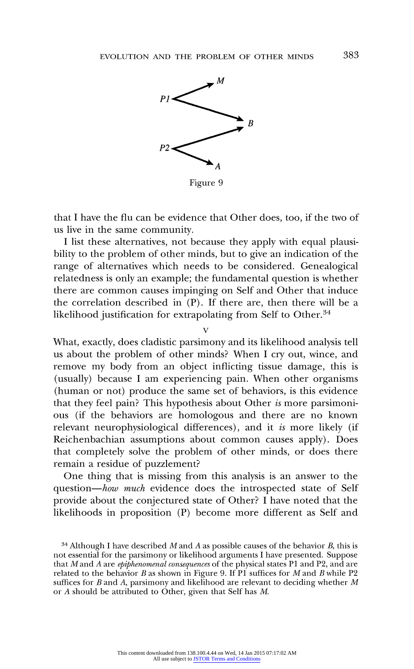

**that I have the flu can be evidence that Other does, too, if the two of us live in the same community.** 

**I list these alternatives, not because they apply with equal plausibility to the problem of other minds, but to give an indication of the range of alternatives which needs to be considered. Genealogical relatedness is only an example; the fundamental question is whether there are common causes impinging on Self and Other that induce the correlation described in (P). If there are, then there will be a likelihood justification for extrapolating from Self to Other.34** 

**V** 

**What, exactly, does cladistic parsimony and its likelihood analysis tell us about the problem of other minds? When I cry out, wince, and remove my body from an object inflicting tissue damage, this is (usually) because I am experiencing pain. When other organisms (human or not) produce the same set of behaviors, is this evidence that they feel pain? This hypothesis about Other is more parsimonious (if the behaviors are homologous and there are no known relevant neurophysiological differences), and it is more likely (if Reichenbachian assumptions about common causes apply). Does that completely solve the problem of other minds, or does there remain a residue of puzzlement?** 

**One thing that is missing from this analysis is an answer to the question-how much evidence does the introspected state of Self provide about the conjectured state of Other? I have noted that the likelihoods in proposition (P) become more different as Self and** 

**<sup>34</sup>Although I have described M and A as possible causes of the behavior B, this is not essential for the parsimony or likelihood arguments I have presented. Suppose that Mand A are epiphenomenal consequences of the physical states P1 and P2, and are related to the behavior B as shown in Figure 9. If P1 suffices for M and B while P2**  suffices for  $B$  and  $A$ , parsimony and likelihood are relevant to deciding whether  $M$ **or A should be attributed to Other, given that Self has M.**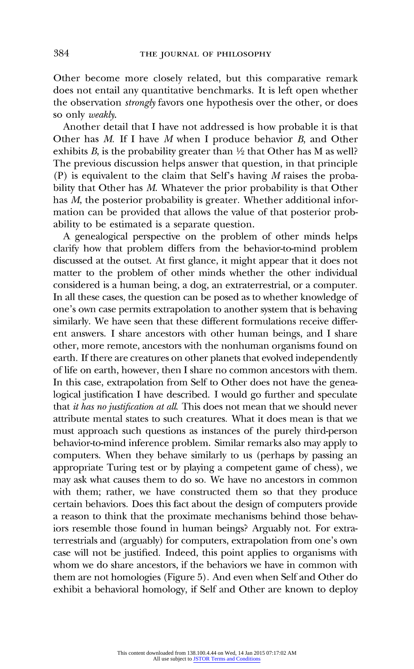**Other become more closely related, but this comparative remark does not entail any quantitative benchmarks. It is left open whether the observation strongly favors one hypothesis over the other, or does so only weakly.** 

**Another detail that I have not addressed is how probable it is that Other has M. If I have M when I produce behavior B, and Other**  exhibits  $B$ , is the probability greater than  $\frac{1}{2}$  that Other has M as well? **The previous discussion helps answer that question, in that principle (P) is equivalent to the claim that Self's having M raises the probability that Other has M. Whatever the prior probability is that Other has M, the posterior probability is greater. Whether additional information can be provided that allows the value of that posterior probability to be estimated is a separate question.** 

**A genealogical perspective on the problem of other minds helps clarify how that problem differs from the behavior-to-mind problem discussed at the outset. At first glance, it might appear that it does not matter to the problem of other minds whether the other individual considered is a human being, a dog, an extraterrestrial, or a computer. In all these cases, the question can be posed as to whether knowledge of one's own case permits extrapolation to another system that is behaving similarly. We have seen that these different formulations receive different answers. I share ancestors with other human beings, and I share other, more remote, ancestors with the nonhuman organisms found on earth. If there are creatures on other planets that evolved independently of life on earth, however, then I share no common ancestors with them. In this case, extrapolation from Self to Other does not have the genealogical justification I have described. I would go further and speculate that it has no justification at all. This does not mean that we should never attribute mental states to such creatures. What it does mean is that we must approach such questions as instances of the purely third-person behavior-to-mind inference problem. Similar remarks also may apply to computers. When they behave similarly to us (perhaps by passing an appropriate Turing test or by playing a competent game of chess), we may ask what causes them to do so. We have no ancestors in common with them; rather, we have constructed them so that they produce certain behaviors. Does this fact about the design of computers provide a reason to think that the proximate mechanisms behind those behaviors resemble those found in human beings? Arguably not. For extraterrestrials and (arguably) for computers, extrapolation from one's own case will not be justified. Indeed, this point applies to organisms with whom we do share ancestors, if the behaviors we have in common with them are not homologies (Figure 5). And even when Self and Other do exhibit a behavioral homology, if Self and Other are known to deploy**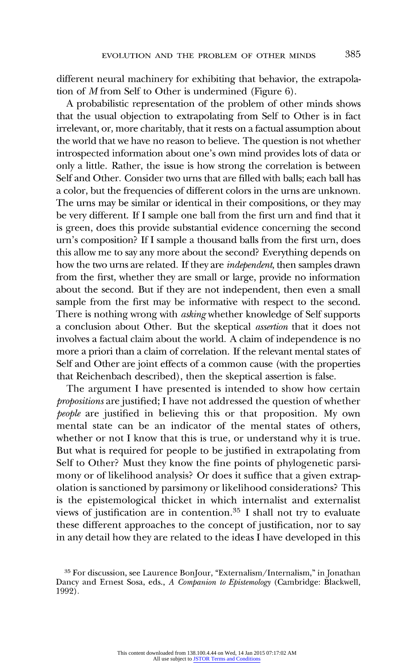**different neural machinery for exhibiting that behavior, the extrapolation of M from Self to Other is undermined (Figure 6).** 

**A probabilistic representation of the problem of other minds shows that the usual objection to extrapolating from Self to Other is in fact irrelevant, or, more charitably, that it rests on a factual assumption about the world that we have no reason to believe. The question is not whether introspected information about one's own mind provides lots of data or only a little. Rather, the issue is how strong the correlation is between Self and Other. Consider two urns that are filled with balls; each ball has a color, but the frequencies of different colors in the urns are unknown. The urns may be similar or identical in their compositions, or they may be very different. If I sample one ball from the first urn and find that it is green, does this provide substantial evidence concerning the second urn's composition? If I sample a thousand balls from the first urn, does this allow me to say any more about the second? Everything depends on**  how the two urns are related. If they are *independent*, then samples drawn **from the first, whether they are small or large, provide no information about the second. But if they are not independent, then even a small sample from the first may be informative with respect to the second. There is nothing wrong with asking whether knowledge of Self supports a conclusion about Other. But the skeptical assertion that it does not involves a factual claim about the world. A claim of independence is no more a priori than a claim of correlation. If the relevant mental states of Self and Other are joint effects of a common cause (with the properties that Reichenbach described), then the skeptical assertion is false.** 

**The argument I have presented is intended to show how certain propositions are justified; I have not addressed the question of whether people are justified in believing this or that proposition. My own mental state can be an indicator of the mental states of others, whether or not I know that this is true, or understand why it is true. But what is required for people to be justified in extrapolating from Self to Other? Must they know the fine points of phylogenetic parsimony or of likelihood analysis? Or does it suffice that a given extrapolation is sanctioned by parsimony or likelihood considerations? This is the epistemological thicket in which internalist and externalist views of justification are in contention.35 I shall not try to evaluate these different approaches to the concept of justification, nor to say in any detail how they are related to the ideas I have developed in this** 

**<sup>35</sup>For discussion, see Laurence Bonjour, "Externalism/Internalism," inJonathan Dancy and Ernest Sosa, eds., A Companion to Epistemology (Cambridge: Blackwell, 1992).**